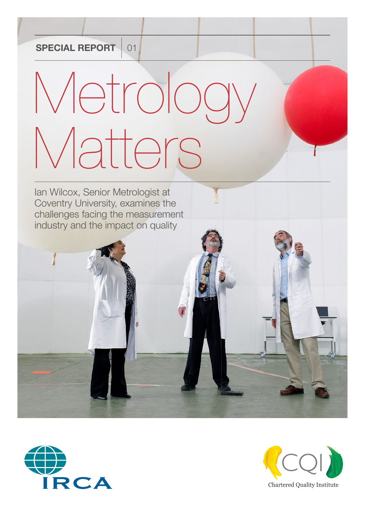#### **SPECIAL REPORT** 01

# Metrology Matters

Ian Wilcox, Senior Metrologist at Coventry University, examines the challenges facing the measurement industry and the impact on quality



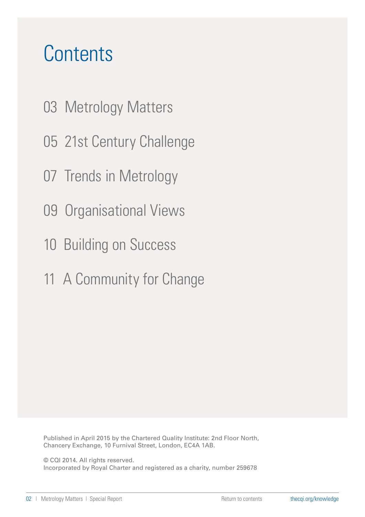#### <span id="page-1-0"></span>**Contents**

- [03 Metrology Matters](#page-2-0)
- [05 21st Century Challenge](#page-4-0)
- [07 Trends in Metrology](#page-6-0)
- [09 Organisational Views](#page-8-0)
- [10 Building on Success](#page-9-0)
- [11 A Community for Change](#page-10-0)

Published in April 2015 by the Chartered Quality Institute: 2nd Floor North, Chancery Exchange, 10 Furnival Street, London, EC4A 1AB.

© CQI 2014. All rights reserved.

Incorporated by Royal Charter and registered as a charity, number 259678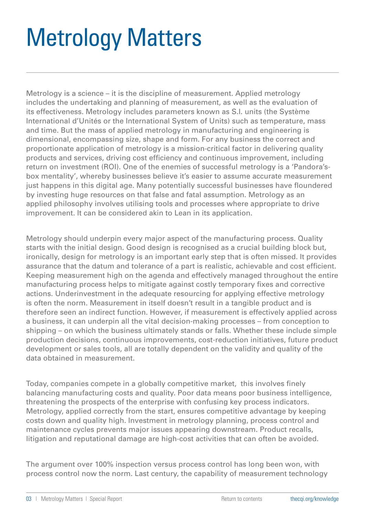### <span id="page-2-0"></span>Metrology Matters

Metrology is a science – it is the discipline of measurement. Applied metrology includes the undertaking and planning of measurement, as well as the evaluation of its effectiveness. Metrology includes parameters known as S.I. units (the Système International d'Unités or the International System of Units) such as temperature, mass and time. But the mass of applied metrology in manufacturing and engineering is dimensional, encompassing size, shape and form. For any business the correct and proportionate application of metrology is a mission-critical factor in delivering quality products and services, driving cost efficiency and continuous improvement, including return on investment (ROI). One of the enemies of successful metrology is a 'Pandora'sbox mentality', whereby businesses believe it's easier to assume accurate measurement just happens in this digital age. Many potentially successful businesses have floundered by investing huge resources on that false and fatal assumption. Metrology as an applied philosophy involves utilising tools and processes where appropriate to drive improvement. It can be considered akin to Lean in its application.

Metrology should underpin every major aspect of the manufacturing process. Quality starts with the initial design. Good design is recognised as a crucial building block but, ironically, design for metrology is an important early step that is often missed. It provides assurance that the datum and tolerance of a part is realistic, achievable and cost efficient. Keeping measurement high on the agenda and effectively managed throughout the entire manufacturing process helps to mitigate against costly temporary fixes and corrective actions. Underinvestment in the adequate resourcing for applying effective metrology is often the norm. Measurement in itself doesn't result in a tangible product and is therefore seen an indirect function. However, if measurement is effectively applied across a business, it can underpin all the vital decision-making processes – from conception to shipping – on which the business ultimately stands or falls. Whether these include simple production decisions, continuous improvements, cost-reduction initiatives, future product development or sales tools, all are totally dependent on the validity and quality of the data obtained in measurement.

Today, companies compete in a globally competitive market, this involves finely balancing manufacturing costs and quality. Poor data means poor business intelligence, threatening the prospects of the enterprise with confusing key process indicators. Metrology, applied correctly from the start, ensures competitive advantage by keeping costs down and quality high. Investment in metrology planning, process control and maintenance cycles prevents major issues appearing downstream. Product recalls, litigation and reputational damage are high-cost activities that can often be avoided.

The argument over 100% inspection versus process control has long been won, with process control now the norm. Last century, the capability of measurement technology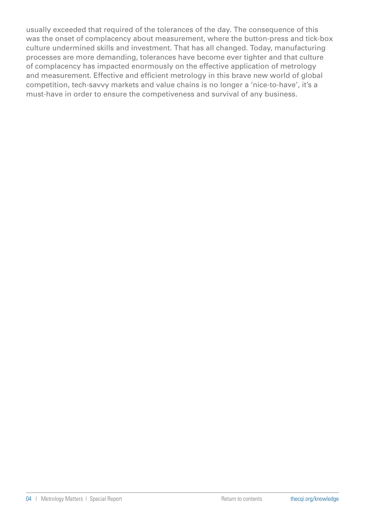usually exceeded that required of the tolerances of the day. The consequence of this was the onset of complacency about measurement, where the button-press and tick-box culture undermined skills and investment. That has all changed. Today, manufacturing processes are more demanding, tolerances have become ever tighter and that culture of complacency has impacted enormously on the effective application of metrology and measurement. Effective and efficient metrology in this brave new world of global competition, tech-savvy markets and value chains is no longer a 'nice-to-have', it's a must-have in order to ensure the competiveness and survival of any business.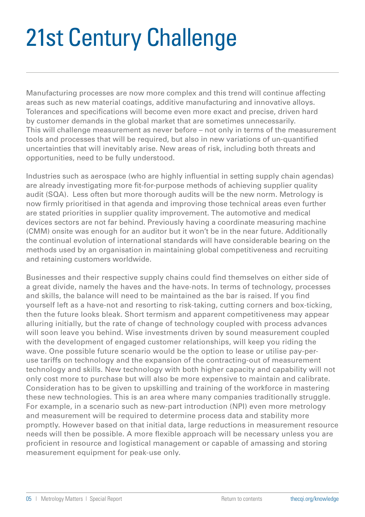### <span id="page-4-0"></span>21st Century Challenge

Manufacturing processes are now more complex and this trend will continue affecting areas such as new material coatings, additive manufacturing and innovative alloys. Tolerances and specifications will become even more exact and precise, driven hard by customer demands in the global market that are sometimes unnecessarily. This will challenge measurement as never before – not only in terms of the measurement tools and processes that will be required, but also in new variations of un-quantified uncertainties that will inevitably arise. New areas of risk, including both threats and opportunities, need to be fully understood.

Industries such as aerospace (who are highly influential in setting supply chain agendas) are already investigating more fit-for-purpose methods of achieving supplier quality audit (SQA). Less often but more thorough audits will be the new norm. Metrology is now firmly prioritised in that agenda and improving those technical areas even further are stated priorities in supplier quality improvement. The automotive and medical devices sectors are not far behind. Previously having a coordinate measuring machine (CMM) onsite was enough for an auditor but it won't be in the near future. Additionally the continual evolution of international standards will have considerable bearing on the methods used by an organisation in maintaining global competitiveness and recruiting and retaining customers worldwide.

Businesses and their respective supply chains could find themselves on either side of a great divide, namely the haves and the have-nots. In terms of technology, processes and skills, the balance will need to be maintained as the bar is raised. If you find yourself left as a have-not and resorting to risk-taking, cutting corners and box-ticking, then the future looks bleak. Short termism and apparent competitiveness may appear alluring initially, but the rate of change of technology coupled with process advances will soon leave you behind. Wise investments driven by sound measurement coupled with the development of engaged customer relationships, will keep you riding the wave. One possible future scenario would be the option to lease or utilise pay-peruse tariffs on technology and the expansion of the contracting-out of measurement technology and skills. New technology with both higher capacity and capability will not only cost more to purchase but will also be more expensive to maintain and calibrate. Consideration has to be given to upskilling and training of the workforce in mastering these new technologies. This is an area where many companies traditionally struggle. For example, in a scenario such as new-part introduction (NPI) even more metrology and measurement will be required to determine process data and stability more promptly. However based on that initial data, large reductions in measurement resource needs will then be possible. A more flexible approach will be necessary unless you are proficient in resource and logistical management or capable of amassing and storing measurement equipment for peak-use only.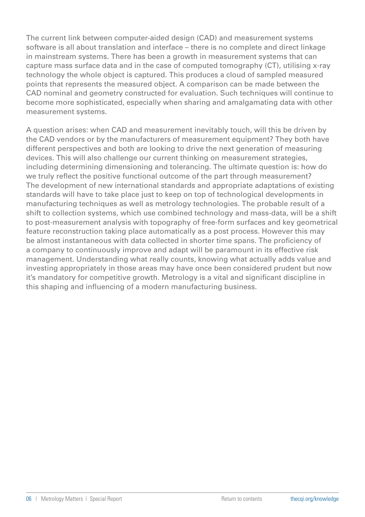The current link between computer-aided design (CAD) and measurement systems software is all about translation and interface – there is no complete and direct linkage in mainstream systems. There has been a growth in measurement systems that can capture mass surface data and in the case of computed tomography (CT), utilising x-ray technology the whole object is captured. This produces a cloud of sampled measured points that represents the measured object. A comparison can be made between the CAD nominal and geometry constructed for evaluation. Such techniques will continue to become more sophisticated, especially when sharing and amalgamating data with other measurement systems.

A question arises: when CAD and measurement inevitably touch, will this be driven by the CAD vendors or by the manufacturers of measurement equipment? They both have different perspectives and both are looking to drive the next generation of measuring devices. This will also challenge our current thinking on measurement strategies, including determining dimensioning and tolerancing. The ultimate question is: how do we truly reflect the positive functional outcome of the part through measurement? The development of new international standards and appropriate adaptations of existing standards will have to take place just to keep on top of technological developments in manufacturing techniques as well as metrology technologies. The probable result of a shift to collection systems, which use combined technology and mass-data, will be a shift to post-measurement analysis with topography of free-form surfaces and key geometrical feature reconstruction taking place automatically as a post process. However this may be almost instantaneous with data collected in shorter time spans. The proficiency of a company to continuously improve and adapt will be paramount in its effective risk management. Understanding what really counts, knowing what actually adds value and investing appropriately in those areas may have once been considered prudent but now it's mandatory for competitive growth. Metrology is a vital and significant discipline in this shaping and influencing of a modern manufacturing business.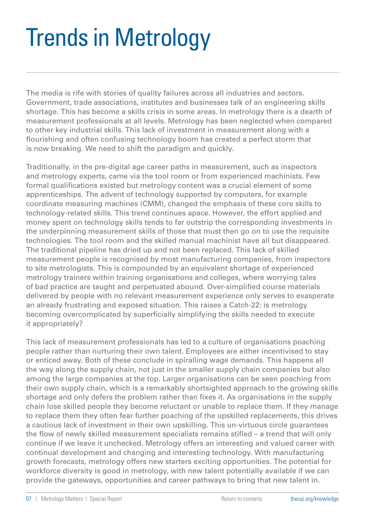#### <span id="page-6-0"></span>Trends in Metrology

The media is rife with stories of quality failures across all industries and sectors. Government, trade associations, institutes and businesses talk of an engineering skills shortage. This has become a skills crisis in some areas. In metrology there is a dearth of measurement professionals at all levels. Metrology has been neglected when compared to other key industrial skills. This lack of investment in measurement along with a flourishing and often confusing technology boom has created a perfect storm that is now breaking. We need to shift the paradigm and quickly.

Traditionally, in the pre-digital age career paths in measurement, such as inspectors and metrology experts, came via the tool room or from experienced machinists. Few formal qualifications existed but metrology content was a crucial element of some apprenticeships. The advent of technology supported by computers, for example coordinate measuring machines (CMM), changed the emphasis of these core skills to technology-related skills. This trend continues apace. However, the effort applied and money spent on technology skills tends to far outstrip the corresponding investments in the underpinning measurement skills of those that must then go on to use the requisite technologies. The tool room and the skilled manual machinist have all but disappeared. The traditional pipeline has dried up and not been replaced. This lack of skilled measurement people is recognised by most manufacturing companies, from inspectors to site metrologists. This is compounded by an equivalent shortage of experienced metrology trainers within training organisations and colleges, where worrying tales of bad practice are taught and perpetuated abound. Over-simplified course materials delivered by people with no relevant measurement experience only serves to exasperate an already frustrating and exposed situation. This raises a Catch-22: is metrology becoming overcomplicated by superficially simplifying the skills needed to execute it appropriately?

This lack of measurement professionals has led to a culture of organisations poaching people rather than nurturing their own talent. Employees are either incentivised to stay or enticed away. Both of these conclude in spiralling wage demands. This happens all the way along the supply chain, not just in the smaller supply chain companies but also among the large companies at the top. Larger organisations can be seen poaching from their own supply chain, which is a remarkably shortsighted approach to the growing skills shortage and only defers the problem rather than fixes it. As organisations in the supply chain lose skilled people they become reluctant or unable to replace them. If they manage to replace them they often fear further poaching of the upskilled replacements, this drives a cautious lack of investment in their own upskilling. This un-virtuous circle guarantees the flow of newly skilled measurement specialists remains stifled – a trend that will only continue if we leave it unchecked. Metrology offers an interesting and valued career with continual development and changing and interesting technology. With manufacturing growth forecasts, metrology offers new starters exciting opportunities. The potential for workforce diversity is good in metrology, with new talent potentially available if we can provide the gateways, opportunities and career pathways to bring that new talent in.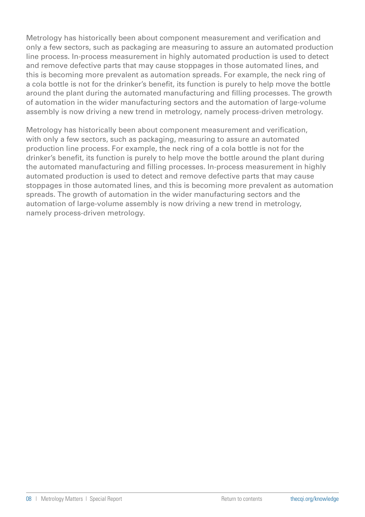Metrology has historically been about component measurement and verification and only a few sectors, such as packaging are measuring to assure an automated production line process. In-process measurement in highly automated production is used to detect and remove defective parts that may cause stoppages in those automated lines, and this is becoming more prevalent as automation spreads. For example, the neck ring of a cola bottle is not for the drinker's benefit, its function is purely to help move the bottle around the plant during the automated manufacturing and filling processes. The growth of automation in the wider manufacturing sectors and the automation of large-volume assembly is now driving a new trend in metrology, namely process-driven metrology.

Metrology has historically been about component measurement and verification, with only a few sectors, such as packaging, measuring to assure an automated production line process. For example, the neck ring of a cola bottle is not for the drinker's benefit, its function is purely to help move the bottle around the plant during the automated manufacturing and filling processes. In-process measurement in highly automated production is used to detect and remove defective parts that may cause stoppages in those automated lines, and this is becoming more prevalent as automation spreads. The growth of automation in the wider manufacturing sectors and the automation of large-volume assembly is now driving a new trend in metrology, namely process-driven metrology.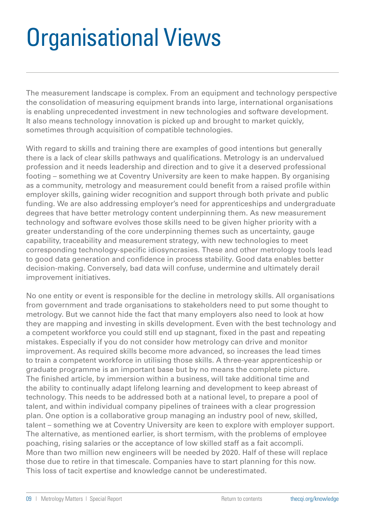#### <span id="page-8-0"></span>Organisational Views

The measurement landscape is complex. From an equipment and technology perspective the consolidation of measuring equipment brands into large, international organisations is enabling unprecedented investment in new technologies and software development. It also means technology innovation is picked up and brought to market quickly, sometimes through acquisition of compatible technologies.

With regard to skills and training there are examples of good intentions but generally there is a lack of clear skills pathways and qualifications. Metrology is an undervalued profession and it needs leadership and direction and to give it a deserved professional footing – something we at Coventry University are keen to make happen. By organising as a community, metrology and measurement could benefit from a raised profile within employer skills, gaining wider recognition and support through both private and public funding. We are also addressing employer's need for apprenticeships and undergraduate degrees that have better metrology content underpinning them. As new measurement technology and software evolves those skills need to be given higher priority with a greater understanding of the core underpinning themes such as uncertainty, gauge capability, traceability and measurement strategy, with new technologies to meet corresponding technology-specific idiosyncrasies. These and other metrology tools lead to good data generation and confidence in process stability. Good data enables better decision-making. Conversely, bad data will confuse, undermine and ultimately derail improvement initiatives.

No one entity or event is responsible for the decline in metrology skills. All organisations from government and trade organisations to stakeholders need to put some thought to metrology. But we cannot hide the fact that many employers also need to look at how they are mapping and investing in skills development. Even with the best technology and a competent workforce you could still end up stagnant, fixed in the past and repeating mistakes. Especially if you do not consider how metrology can drive and monitor improvement. As required skills become more advanced, so increases the lead times to train a competent workforce in utilising those skills. A three-year apprenticeship or graduate programme is an important base but by no means the complete picture. The finished article, by immersion within a business, will take additional time and the ability to continually adapt lifelong learning and development to keep abreast of technology. This needs to be addressed both at a national level, to prepare a pool of talent, and within individual company pipelines of trainees with a clear progression plan. One option is a collaborative group managing an industry pool of new, skilled, talent – something we at Coventry University are keen to explore with employer support. The alternative, as mentioned earlier, is short termism, with the problems of employee poaching, rising salaries or the acceptance of low skilled staff as a fait accompli. More than two million new engineers will be needed by 2020. Half of these will replace those due to retire in that timescale. Companies have to start planning for this now. This loss of tacit expertise and knowledge cannot be underestimated.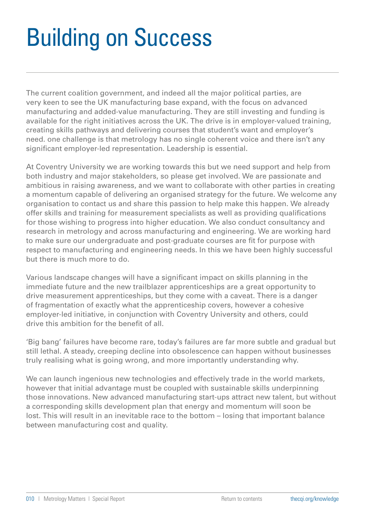### <span id="page-9-0"></span>Building on Success

The current coalition government, and indeed all the major political parties, are very keen to see the UK manufacturing base expand, with the focus on advanced manufacturing and added-value manufacturing. They are still investing and funding is available for the right initiatives across the UK. The drive is in employer-valued training, creating skills pathways and delivering courses that student's want and employer's need. one challenge is that metrology has no single coherent voice and there isn't any significant employer-led representation. Leadership is essential.

At Coventry University we are working towards this but we need support and help from both industry and major stakeholders, so please get involved. We are passionate and ambitious in raising awareness, and we want to collaborate with other parties in creating a momentum capable of delivering an organised strategy for the future. We welcome any organisation to contact us and share this passion to help make this happen. We already offer skills and training for measurement specialists as well as providing qualifications for those wishing to progress into higher education. We also conduct consultancy and research in metrology and across manufacturing and engineering. We are working hard to make sure our undergraduate and post-graduate courses are fit for purpose with respect to manufacturing and engineering needs. In this we have been highly successful but there is much more to do.

Various landscape changes will have a significant impact on skills planning in the immediate future and the new trailblazer apprenticeships are a great opportunity to drive measurement apprenticeships, but they come with a caveat. There is a danger of fragmentation of exactly what the apprenticeship covers, however a cohesive employer-led initiative, in conjunction with Coventry University and others, could drive this ambition for the benefit of all.

'Big bang' failures have become rare, today's failures are far more subtle and gradual but still lethal. A steady, creeping decline into obsolescence can happen without businesses truly realising what is going wrong, and more importantly understanding why.

We can launch ingenious new technologies and effectively trade in the world markets, however that initial advantage must be coupled with sustainable skills underpinning those innovations. New advanced manufacturing start-ups attract new talent, but without a corresponding skills development plan that energy and momentum will soon be lost. This will result in an inevitable race to the bottom – losing that important balance between manufacturing cost and quality.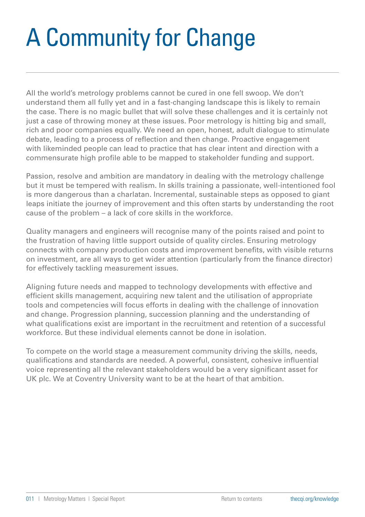## <span id="page-10-0"></span>A Community for Change

All the world's metrology problems cannot be cured in one fell swoop. We don't understand them all fully yet and in a fast-changing landscape this is likely to remain the case. There is no magic bullet that will solve these challenges and it is certainly not just a case of throwing money at these issues. Poor metrology is hitting big and small, rich and poor companies equally. We need an open, honest, adult dialogue to stimulate debate, leading to a process of reflection and then change. Proactive engagement with likeminded people can lead to practice that has clear intent and direction with a commensurate high profile able to be mapped to stakeholder funding and support.

Passion, resolve and ambition are mandatory in dealing with the metrology challenge but it must be tempered with realism. In skills training a passionate, well-intentioned fool is more dangerous than a charlatan. Incremental, sustainable steps as opposed to giant leaps initiate the journey of improvement and this often starts by understanding the root cause of the problem – a lack of core skills in the workforce.

Quality managers and engineers will recognise many of the points raised and point to the frustration of having little support outside of quality circles. Ensuring metrology connects with company production costs and improvement benefits, with visible returns on investment, are all ways to get wider attention (particularly from the finance director) for effectively tackling measurement issues.

Aligning future needs and mapped to technology developments with effective and efficient skills management, acquiring new talent and the utilisation of appropriate tools and competencies will focus efforts in dealing with the challenge of innovation and change. Progression planning, succession planning and the understanding of what qualifications exist are important in the recruitment and retention of a successful workforce. But these individual elements cannot be done in isolation.

To compete on the world stage a measurement community driving the skills, needs, qualifications and standards are needed. A powerful, consistent, cohesive influential voice representing all the relevant stakeholders would be a very significant asset for UK plc. We at Coventry University want to be at the heart of that ambition.